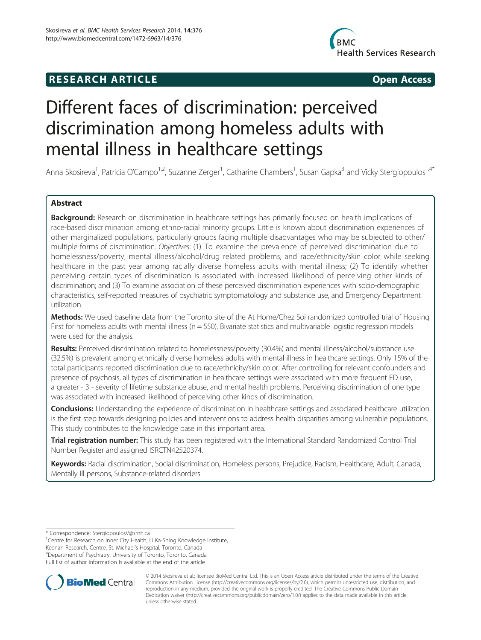# **RESEARCH ARTICLE Example 2014 12:25 Open Access**



# Different faces of discrimination: perceived discrimination among homeless adults with mental illness in healthcare settings

Anna Skosireva<sup>1</sup>, Patricia O'Campo<sup>1,2</sup>, Suzanne Zerger<sup>1</sup>, Catharine Chambers<sup>1</sup>, Susan Gapka<sup>3</sup> and Vicky Stergiopoulos<sup>1,4\*</sup>

# Abstract

Background: Research on discrimination in healthcare settings has primarily focused on health implications of race-based discrimination among ethno-racial minority groups. Little is known about discrimination experiences of other marginalized populations, particularly groups facing multiple disadvantages who may be subjected to other/ multiple forms of discrimination. Objectives: (1) To examine the prevalence of perceived discrimination due to homelessness/poverty, mental illness/alcohol/drug related problems, and race/ethnicity/skin color while seeking healthcare in the past year among racially diverse homeless adults with mental illness; (2) To identify whether perceiving certain types of discrimination is associated with increased likelihood of perceiving other kinds of discrimination; and (3) To examine association of these perceived discrimination experiences with socio-demographic characteristics, self-reported measures of psychiatric symptomatology and substance use, and Emergency Department utilization.

Methods: We used baseline data from the Toronto site of the At Home/Chez Soi randomized controlled trial of Housing First for homeless adults with mental illness ( $n = 550$ ). Bivariate statistics and multivariable logistic regression models were used for the analysis.

Results: Perceived discrimination related to homelessness/poverty (30.4%) and mental illness/alcohol/substance use (32.5%) is prevalent among ethnically diverse homeless adults with mental illness in healthcare settings. Only 15% of the total participants reported discrimination due to race/ethnicity/skin color. After controlling for relevant confounders and presence of psychosis, all types of discrimination in healthcare settings were associated with more frequent ED use, a greater - 3 - severity of lifetime substance abuse, and mental health problems. Perceiving discrimination of one type was associated with increased likelihood of perceiving other kinds of discrimination.

Conclusions: Understanding the experience of discrimination in healthcare settings and associated healthcare utilization is the first step towards designing policies and interventions to address health disparities among vulnerable populations. This study contributes to the knowledge base in this important area.

Trial registration number: This study has been registered with the International Standard Randomized Control Trial Number Register and assigned [ISRCTN42520374.](http://www.controlled-trials.com/ISRCTN42520374)

Keywords: Racial discrimination, Social discrimination, Homeless persons, Prejudice, Racism, Healthcare, Adult, Canada, Mentally Ill persons, Substance-related disorders

\* Correspondence: [StergiopoulosV@smh.ca](mailto:StergiopoulosV@smh.ca) <sup>1</sup>

<sup>1</sup>Centre for Research on Inner City Health, Li Ka-Shing Knowledge Institute, Keenan Research, Centre, St. Michael's Hospital, Toronto, Canada <sup>4</sup> Department of Psychiatry, University of Toronto, Toronto, Canada

Full list of author information is available at the end of the article



© 2014 Skosireva et al.; licensee BioMed Central Ltd. This is an Open Access article distributed under the terms of the Creative Commons Attribution License [\(http://creativecommons.org/licenses/by/2.0\)](http://creativecommons.org/licenses/by/2.0), which permits unrestricted use, distribution, and reproduction in any medium, provided the original work is properly credited. The Creative Commons Public Domain Dedication waiver [\(http://creativecommons.org/publicdomain/zero/1.0/](http://creativecommons.org/publicdomain/zero/1.0/)) applies to the data made available in this article, unless otherwise stated.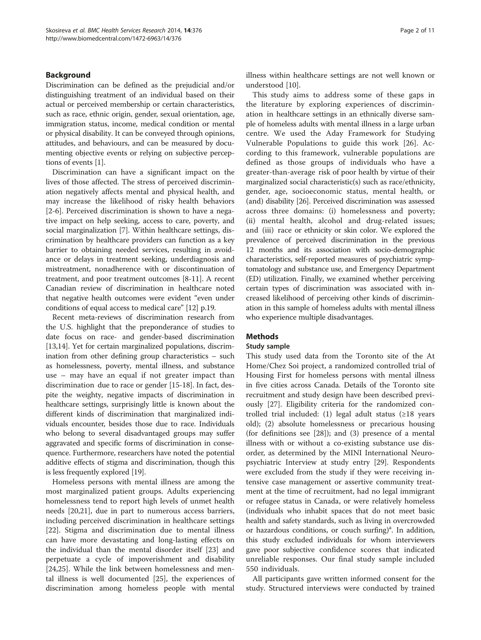# Background

Discrimination can be defined as the prejudicial and/or distinguishing treatment of an individual based on their actual or perceived membership or certain characteristics, such as race, ethnic origin, gender, sexual orientation, age, immigration status, income, medical condition or mental or physical disability. It can be conveyed through opinions, attitudes, and behaviours, and can be measured by documenting objective events or relying on subjective perceptions of events [\[1](#page-9-0)].

Discrimination can have a significant impact on the lives of those affected. The stress of perceived discrimination negatively affects mental and physical health, and may increase the likelihood of risky health behaviors [[2-6](#page-9-0)]. Perceived discrimination is shown to have a negative impact on help seeking, access to care, poverty, and social marginalization [[7](#page-9-0)]. Within healthcare settings, discrimination by healthcare providers can function as a key barrier to obtaining needed services, resulting in avoidance or delays in treatment seeking, underdiagnosis and mistreatment, nonadherence with or discontinuation of treatment, and poor treatment outcomes [\[8-11\]](#page-9-0). A recent Canadian review of discrimination in healthcare noted that negative health outcomes were evident "even under conditions of equal access to medical care" [\[12\]](#page-9-0) p.19.

Recent meta-reviews of discrimination research from the U.S. highlight that the preponderance of studies to date focus on race- and gender-based discrimination [[13,14](#page-9-0)]. Yet for certain marginalized populations, discrimination from other defining group characteristics – such as homelessness, poverty, mental illness, and substance use – may have an equal if not greater impact than discrimination due to race or gender [[15](#page-9-0)-[18](#page-9-0)]. In fact, despite the weighty, negative impacts of discrimination in healthcare settings, surprisingly little is known about the different kinds of discrimination that marginalized individuals encounter, besides those due to race. Individuals who belong to several disadvantaged groups may suffer aggravated and specific forms of discrimination in consequence. Furthermore, researchers have noted the potential additive effects of stigma and discrimination, though this is less frequently explored [[19](#page-9-0)].

Homeless persons with mental illness are among the most marginalized patient groups. Adults experiencing homelessness tend to report high levels of unmet health needs [\[20,21\]](#page-9-0), due in part to numerous access barriers, including perceived discrimination in healthcare settings [[22\]](#page-9-0). Stigma and discrimination due to mental illness can have more devastating and long-lasting effects on the individual than the mental disorder itself [[23\]](#page-9-0) and perpetuate a cycle of impoverishment and disability [[24,25\]](#page-9-0). While the link between homelessness and mental illness is well documented [[25](#page-9-0)], the experiences of discrimination among homeless people with mental illness within healthcare settings are not well known or understood [\[10](#page-9-0)].

This study aims to address some of these gaps in the literature by exploring experiences of discrimination in healthcare settings in an ethnically diverse sample of homeless adults with mental illness in a large urban centre. We used the Aday Framework for Studying Vulnerable Populations to guide this work [[26\]](#page-9-0). According to this framework, vulnerable populations are defined as those groups of individuals who have a greater-than-average risk of poor health by virtue of their marginalized social characteristic(s) such as race/ethnicity, gender, age, socioeconomic status, mental health, or (and) disability [\[26\]](#page-9-0). Perceived discrimination was assessed across three domains: (i) homelessness and poverty; (ii) mental health, alcohol and drug-related issues; and (iii) race or ethnicity or skin color. We explored the prevalence of perceived discrimination in the previous 12 months and its association with socio-demographic characteristics, self-reported measures of psychiatric symptomatology and substance use, and Emergency Department (ED) utilization. Finally, we examined whether perceiving certain types of discrimination was associated with increased likelihood of perceiving other kinds of discrimination in this sample of homeless adults with mental illness who experience multiple disadvantages.

# Methods

# Study sample

This study used data from the Toronto site of the At Home/Chez Soi project, a randomized controlled trial of Housing First for homeless persons with mental illness in five cities across Canada. Details of the Toronto site recruitment and study design have been described previously [\[27](#page-9-0)]. Eligibility criteria for the randomized controlled trial included: (1) legal adult status (≥18 years old); (2) absolute homelessness or precarious housing (for definitions see [[28](#page-9-0)]); and (3) presence of a mental illness with or without a co-existing substance use disorder, as determined by the MINI International Neuropsychiatric Interview at study entry [\[29](#page-9-0)]. Respondents were excluded from the study if they were receiving intensive case management or assertive community treatment at the time of recruitment, had no legal immigrant or refugee status in Canada, or were relatively homeless (individuals who inhabit spaces that do not meet basic health and safety standards, such as living in overcrowded or hazardous conditions, or couch surfing)<sup>a</sup>. In addition, this study excluded individuals for whom interviewers gave poor subjective confidence scores that indicated unreliable responses. Our final study sample included 550 individuals.

All participants gave written informed consent for the study. Structured interviews were conducted by trained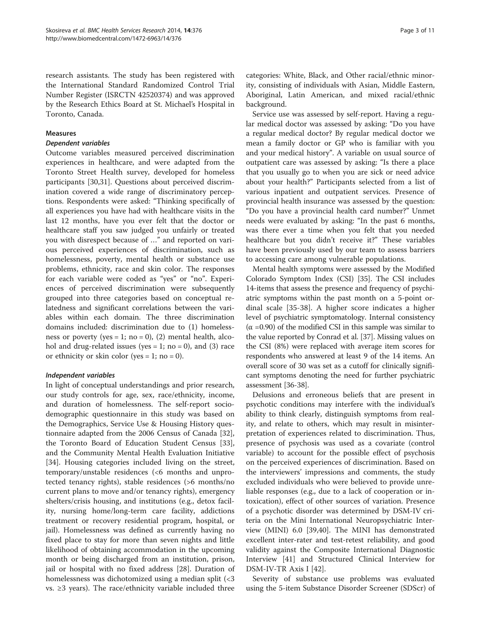research assistants. The study has been registered with the International Standard Randomized Control Trial Number Register (ISRCTN 42520374) and was approved by the Research Ethics Board at St. Michael's Hospital in Toronto, Canada.

# Measures

# Dependent variables

Outcome variables measured perceived discrimination experiences in healthcare, and were adapted from the Toronto Street Health survey, developed for homeless participants [[30](#page-9-0),[31](#page-9-0)]. Questions about perceived discrimination covered a wide range of discriminatory perceptions. Respondents were asked: "Thinking specifically of all experiences you have had with healthcare visits in the last 12 months, have you ever felt that the doctor or healthcare staff you saw judged you unfairly or treated you with disrespect because of …" and reported on various perceived experiences of discrimination, such as homelessness, poverty, mental health or substance use problems, ethnicity, race and skin color. The responses for each variable were coded as "yes" or "no". Experiences of perceived discrimination were subsequently grouped into three categories based on conceptual relatedness and significant correlations between the variables within each domain. The three discrimination domains included: discrimination due to (1) homelessness or poverty (yes = 1; no = 0), (2) mental health, alcohol and drug-related issues (yes = 1; no = 0), and (3) race or ethnicity or skin color (yes = 1; no = 0).

# Independent variables

In light of conceptual understandings and prior research, our study controls for age, sex, race/ethnicity, income, and duration of homelessness. The self-report sociodemographic questionnaire in this study was based on the Demographics, Service Use & Housing History questionnaire adapted from the 2006 Census of Canada [\[32](#page-9-0)], the Toronto Board of Education Student Census [\[33](#page-9-0)], and the Community Mental Health Evaluation Initiative [[34\]](#page-9-0). Housing categories included living on the street, temporary/unstable residences (<6 months and unprotected tenancy rights), stable residences (>6 months/no current plans to move and/or tenancy rights), emergency shelters/crisis housing, and institutions (e.g., detox facility, nursing home/long-term care facility, addictions treatment or recovery residential program, hospital, or jail). Homelessness was defined as currently having no fixed place to stay for more than seven nights and little likelihood of obtaining accommodation in the upcoming month or being discharged from an institution, prison, jail or hospital with no fixed address [[28\]](#page-9-0). Duration of homelessness was dichotomized using a median split (<3 vs. ≥3 years). The race/ethnicity variable included three categories: White, Black, and Other racial/ethnic minority, consisting of individuals with Asian, Middle Eastern, Aboriginal, Latin American, and mixed racial/ethnic background.

Service use was assessed by self-report. Having a regular medical doctor was assessed by asking: "Do you have a regular medical doctor? By regular medical doctor we mean a family doctor or GP who is familiar with you and your medical history". A variable on usual source of outpatient care was assessed by asking: "Is there a place that you usually go to when you are sick or need advice about your health?" Participants selected from a list of various inpatient and outpatient services. Presence of provincial health insurance was assessed by the question: "Do you have a provincial health card number?" Unmet needs were evaluated by asking: "In the past 6 months, was there ever a time when you felt that you needed healthcare but you didn't receive it?" These variables have been previously used by our team to assess barriers to accessing care among vulnerable populations.

Mental health symptoms were assessed by the Modified Colorado Symptom Index (CSI) [\[35\]](#page-9-0). The CSI includes 14-items that assess the presence and frequency of psychiatric symptoms within the past month on a 5-point ordinal scale [[35](#page-9-0)-[38\]](#page-9-0). A higher score indicates a higher level of psychiatric symptomatology. Internal consistency (α =0.90) of the modified CSI in this sample was similar to the value reported by Conrad et al. [[37](#page-9-0)]. Missing values on the CSI (8%) were replaced with average item scores for respondents who answered at least 9 of the 14 items. An overall score of 30 was set as a cutoff for clinically significant symptoms denoting the need for further psychiatric assessment [[36](#page-9-0)-[38\]](#page-9-0).

Delusions and erroneous beliefs that are present in psychotic conditions may interfere with the individual's ability to think clearly, distinguish symptoms from reality, and relate to others, which may result in misinterpretation of experiences related to discrimination. Thus, presence of psychosis was used as a covariate (control variable) to account for the possible effect of psychosis on the perceived experiences of discrimination. Based on the interviewers' impressions and comments, the study excluded individuals who were believed to provide unreliable responses (e.g., due to a lack of cooperation or intoxication), effect of other sources of variation. Presence of a psychotic disorder was determined by DSM-IV criteria on the Mini International Neuropsychiatric Interview (MINI) 6.0 [[39](#page-9-0),[40](#page-9-0)]. The MINI has demonstrated excellent inter-rater and test-retest reliability, and good validity against the Composite International Diagnostic Interview [\[41\]](#page-9-0) and Structured Clinical Interview for DSM-IV-TR Axis I [[42](#page-9-0)].

Severity of substance use problems was evaluated using the 5-item Substance Disorder Screener (SDScr) of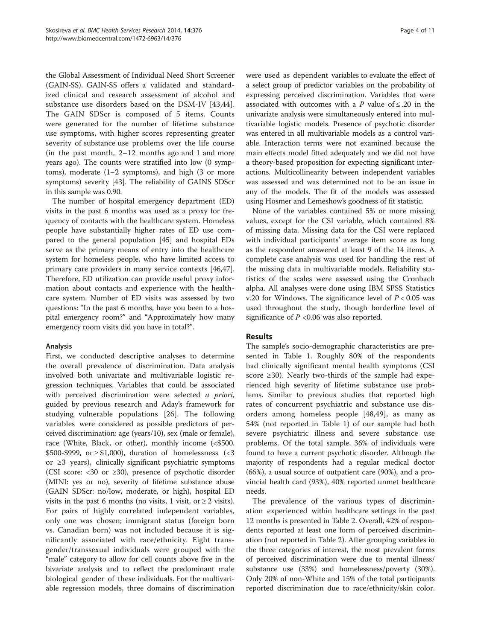the Global Assessment of Individual Need Short Screener (GAIN-SS). GAIN-SS offers a validated and standardized clinical and research assessment of alcohol and substance use disorders based on the DSM-IV [[43,44](#page-9-0)]. The GAIN SDScr is composed of 5 items. Counts were generated for the number of lifetime substance use symptoms, with higher scores representing greater severity of substance use problems over the life course (in the past month, 2–12 months ago and 1 and more years ago). The counts were stratified into low (0 symptoms), moderate (1–2 symptoms), and high (3 or more symptoms) severity [[43](#page-9-0)]. The reliability of GAINS SDScr in this sample was 0.90.

The number of hospital emergency department (ED) visits in the past 6 months was used as a proxy for frequency of contacts with the healthcare system. Homeless people have substantially higher rates of ED use compared to the general population [\[45](#page-9-0)] and hospital EDs serve as the primary means of entry into the healthcare system for homeless people, who have limited access to primary care providers in many service contexts [\[46](#page-9-0)[,47](#page-10-0)]. Therefore, ED utilization can provide useful proxy information about contacts and experience with the healthcare system. Number of ED visits was assessed by two questions: "In the past 6 months, have you been to a hospital emergency room?" and "Approximately how many emergency room visits did you have in total?".

# Analysis

First, we conducted descriptive analyses to determine the overall prevalence of discrimination. Data analysis involved both univariate and multivariable logistic regression techniques. Variables that could be associated with perceived discrimination were selected a priori, guided by previous research and Aday's framework for studying vulnerable populations [[26](#page-9-0)]. The following variables were considered as possible predictors of perceived discrimination: age (years/10), sex (male or female), race (White, Black, or other), monthly income (<\$500, \$500-\$999, or  $\ge$  \$1,000), duration of homelessness (<3 or ≥3 years), clinically significant psychiatric symptoms (CSI score:  $<30$  or  $\geq 30$ ), presence of psychotic disorder (MINI: yes or no), severity of lifetime substance abuse (GAIN SDScr: no/low, moderate, or high), hospital ED visits in the past 6 months (no visits, 1 visit, or  $\geq$  2 visits). For pairs of highly correlated independent variables, only one was chosen; immigrant status (foreign born vs. Canadian born) was not included because it is significantly associated with race/ethnicity. Eight transgender/transsexual individuals were grouped with the "male" category to allow for cell counts above five in the bivariate analysis and to reflect the predominant male biological gender of these individuals. For the multivariable regression models, three domains of discrimination

were used as dependent variables to evaluate the effect of a select group of predictor variables on the probability of expressing perceived discrimination. Variables that were associated with outcomes with a P value of  $\le$  .20 in the univariate analysis were simultaneously entered into multivariable logistic models. Presence of psychotic disorder was entered in all multivariable models as a control variable. Interaction terms were not examined because the main effects model fitted adequately and we did not have a theory-based proposition for expecting significant interactions. Multicollinearity between independent variables was assessed and was determined not to be an issue in any of the models. The fit of the models was assessed using Hosmer and Lemeshow's goodness of fit statistic.

None of the variables contained 5% or more missing values, except for the CSI variable, which contained 8% of missing data. Missing data for the CSI were replaced with individual participants' average item score as long as the respondent answered at least 9 of the 14 items. A complete case analysis was used for handling the rest of the missing data in multivariable models. Reliability statistics of the scales were assessed using the Cronbach alpha. All analyses were done using IBM SPSS Statistics v.20 for Windows. The significance level of  $P < 0.05$  was used throughout the study, though borderline level of significance of  $P \le 0.06$  was also reported.

# Results

The sample's socio-demographic characteristics are presented in Table [1.](#page-4-0) Roughly 80% of the respondents had clinically significant mental health symptoms (CSI score ≥30). Nearly two-thirds of the sample had experienced high severity of lifetime substance use problems. Similar to previous studies that reported high rates of concurrent psychiatric and substance use disorders among homeless people [[48,49](#page-10-0)], as many as 54% (not reported in Table [1\)](#page-4-0) of our sample had both severe psychiatric illness and severe substance use problems. Of the total sample, 36% of individuals were found to have a current psychotic disorder. Although the majority of respondents had a regular medical doctor (66%), a usual source of outpatient care (90%), and a provincial health card (93%), 40% reported unmet healthcare needs.

The prevalence of the various types of discrimination experienced within healthcare settings in the past 12 months is presented in Table [2](#page-4-0). Overall, 42% of respondents reported at least one form of perceived discrimination (not reported in Table [2](#page-4-0)). After grouping variables in the three categories of interest, the most prevalent forms of perceived discrimination were due to mental illness/ substance use (33%) and homelessness/poverty (30%). Only 20% of non-White and 15% of the total participants reported discrimination due to race/ethnicity/skin color.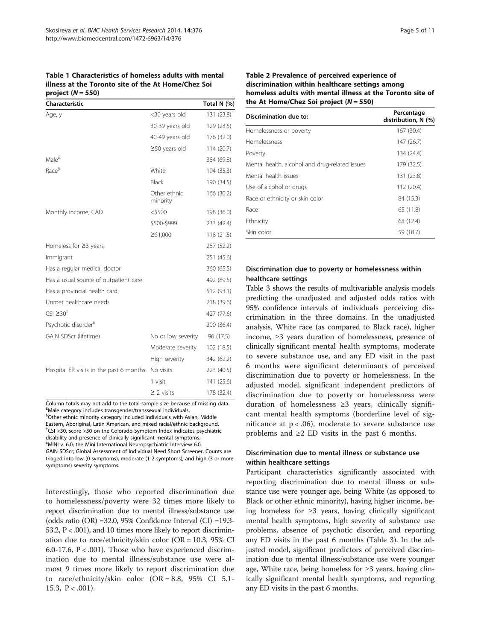<span id="page-4-0"></span>Table 1 Characteristics of homeless adults with mental illness at the Toronto site of the At Home/Chez Soi project  $(N = 550)$ 

| Characteristic                          |                          | Total N (%) |
|-----------------------------------------|--------------------------|-------------|
| Age, y                                  | <30 years old            | 131 (23.8)  |
|                                         | 30-39 years old          | 129 (23.5)  |
|                                         | 40-49 years old          | 176 (32.0)  |
|                                         | $\geq$ 50 years old      | 114(20.7)   |
| $Male^{\text{f}}$                       |                          | 384 (69.8)  |
| Race <sup>§</sup>                       | White                    | 194 (35.3)  |
|                                         | <b>Black</b>             | 190 (34.5)  |
|                                         | Other ethnic<br>minority | 166 (30.2)  |
| Monthly income, CAD                     | $<$ \$500                | 198 (36.0)  |
|                                         | \$500-\$999              | 233 (42.4)  |
|                                         | $\geq$ \$1,000           | 118 (21.5)  |
| Homeless for $\geq$ 3 years             |                          | 287 (52.2)  |
| Immigrant                               |                          | 251 (45.6)  |
| Has a regular medical doctor            |                          | 360 (65.5)  |
| Has a usual source of outpatient care   |                          | 492 (89.5)  |
| Has a provincial health card            |                          | 512 (93.1)  |
| Unmet healthcare needs                  |                          | 218 (39.6)  |
| $CSI \geq 30^{+}$                       |                          | 427 (77.6)  |
| Psychotic disorder <sup>#</sup>         |                          | 200 (36.4)  |
| GAIN SDScr (lifetime)                   | No or low severity       | 96 (17.5)   |
|                                         | Moderate severity        | 102 (18.5)  |
|                                         | High severity            | 342 (62.2)  |
| Hospital ER visits in the past 6 months | No visits                | 223 (40.5)  |
|                                         | 1 visit                  | 141(25.6)   |
|                                         | $\geq$ 2 visits          | 178 (32.4)  |

Column totals may not add to the total sample size because of missing data.  $^{\text{f}}$ Male category includes transgender/transsexual individuals.

§ Other ethnic minority category included individuals with Asian, Middle Eastern, Aboriginal, Latin American, and mixed racial/ethnic background. † CSI ≥30, score ≥30 on the Colorado Symptom Index indicates psychiatric disability and presence of clinically significant mental symptoms.

‡ MINI v. 6.0; the Mini International Neuropsychiatric Interview 6.0. GAIN SDScr; Global Assessment of Individual Need Short Screener. Counts are

triaged into low (0 symptoms), moderate (1-2 symptoms), and high (3 or more symptoms) severity symptoms.

Interestingly, those who reported discrimination due to homelessness/poverty were 32 times more likely to report discrimination due to mental illness/substance use (odds ratio (OR) =32.0, 95% Confidence Interval (CI) =19.3- 53.2,  $P < .001$ ), and 10 times more likely to report discrimination due to race/ethnicity/skin color (OR = 10.3, 95% CI 6.0-17.6,  $P < .001$ ). Those who have experienced discrimination due to mental illness/substance use were almost 9 times more likely to report discrimination due to race/ethnicity/skin color (OR = 8.8, 95% CI 5.1- 15.3,  $P < .001$ ).

| Table 2 Prevalence of perceived experience of              |
|------------------------------------------------------------|
| discrimination within healthcare settings among            |
| homeless adults with mental illness at the Toronto site of |
| the At Home/Chez Soi project $(N = 550)$                   |

| Discrimination due to:                         | Percentage<br>distribution, N (%) |
|------------------------------------------------|-----------------------------------|
| Homelessness or poverty                        | 167 (30.4)                        |
| Homelessness                                   | 147(26.7)                         |
| Poverty                                        | 134 (24.4)                        |
| Mental health, alcohol and drug-related issues | 179 (32.5)                        |
| Mental health issues                           | 131 (23.8)                        |
| Use of alcohol or drugs                        | 112 (20.4)                        |
| Race or ethnicity or skin color                | 84 (15.3)                         |
| Race                                           | 65 (11.8)                         |
| Ethnicity                                      | 68 (12.4)                         |
| Skin color                                     | 59 (10.7)                         |

# Discrimination due to poverty or homelessness within healthcare settings

Table [3](#page-5-0) shows the results of multivariable analysis models predicting the unadjusted and adjusted odds ratios with 95% confidence intervals of individuals perceiving discrimination in the three domains. In the unadjusted analysis, White race (as compared to Black race), higher income, ≥3 years duration of homelessness, presence of clinically significant mental health symptoms, moderate to severe substance use, and any ED visit in the past 6 months were significant determinants of perceived discrimination due to poverty or homelessness. In the adjusted model, significant independent predictors of discrimination due to poverty or homelessness were duration of homelessness ≥3 years, clinically significant mental health symptoms (borderline level of significance at  $p < .06$ ), moderate to severe substance use problems and  $\geq 2$  ED visits in the past 6 months.

# Discrimination due to mental illness or substance use within healthcare settings

Participant characteristics significantly associated with reporting discrimination due to mental illness or substance use were younger age, being White (as opposed to Black or other ethnic minority), having higher income, being homeless for ≥3 years, having clinically significant mental health symptoms, high severity of substance use problems, absence of psychotic disorder, and reporting any ED visits in the past 6 months (Table [3\)](#page-5-0). In the adjusted model, significant predictors of perceived discrimination due to mental illness/substance use were younger age, White race, being homeless for ≥3 years, having clinically significant mental health symptoms, and reporting any ED visits in the past 6 months.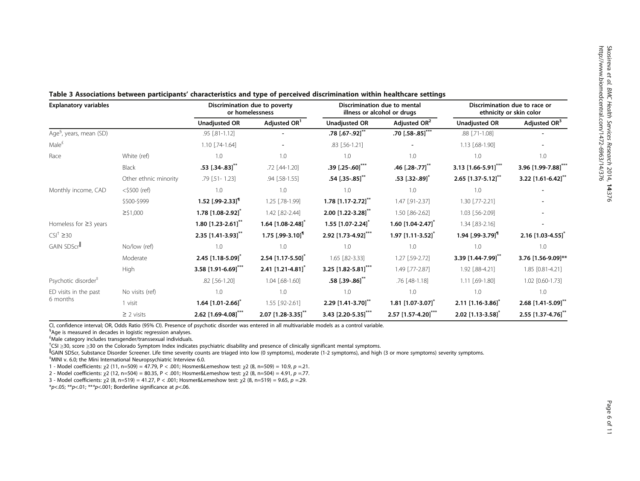| <b>Explanatory variables</b>        |                       | Discrimination due to poverty<br>or homelessness |                                 | Discrimination due to mental<br>illness or alcohol or drugs |                                 | Discrimination due to race or<br>ethnicity or skin color |                               |
|-------------------------------------|-----------------------|--------------------------------------------------|---------------------------------|-------------------------------------------------------------|---------------------------------|----------------------------------------------------------|-------------------------------|
|                                     |                       | <b>Unadjusted OR</b>                             | Adjusted OR <sup>1</sup>        | <b>Unadjusted OR</b>                                        | Adjusted OR <sup>2</sup>        | <b>Unadjusted OR</b>                                     | Adjusted OR <sup>3</sup>      |
| Age <sup>§</sup> , years, mean (SD) |                       | .95 [.81-1.12]                                   |                                 | .78 [.67-.92]**                                             | .70 [.58-.85] ***               | .88 [.71-1.08]                                           |                               |
| $Male^{\pounds}$                    |                       | $1.10$ [.74-1.64]                                |                                 | .83 [.56-1.21]                                              |                                 | 1.13 [.68-1.90]                                          |                               |
| Race                                | White (ref)           | 1.0                                              | 1.0                             | 1.0                                                         | 1.0                             | 1.0                                                      | 1.0                           |
|                                     | <b>Black</b>          | .53 [.34-.83] **                                 | .72 [.44-1.20]                  | .39 [.25-.60] ***                                           | .46 [.28-.77] <sup>**</sup>     | 3.13 [1.66-5.91]***                                      | 3.96 [1.99-7.88]***           |
|                                     | Other ethnic minority | .79 [.51 - 1.23]                                 | .94 [.58-1.55]                  | .54 [.35-.85] **                                            | $.53$ [.32-.89] <sup>*</sup>    | 2.65 [1.37-5.12]**                                       | 3.22 [1.61-6.42]"*            |
| Monthly income, CAD                 | $<$ \$500 (ref)       | 1.0                                              | 1.0                             | 1.0                                                         | 1.0                             | 1.0                                                      |                               |
|                                     | \$500-\$999           | $1.52$ [.99-2.33] <sup>1</sup>                   | 1.25 [.78-1.99]                 | $1.78$ [1.17-2.72] <sup>**</sup>                            | 1.47 [.91-2.37]                 | 1.30 [.77-2.21]                                          |                               |
|                                     | $\geq$ \$1,000        | 1.78 [1.08-2.92] <sup>*</sup>                    | 1.42 [.82-2.44]                 | 2.00 [1.22-3.28]**                                          | 1.50 [.86-2.62]                 | 1.03 [.56-2.09]                                          |                               |
| Homeless for $\geq$ 3 years         |                       | $1.80$ [1.23-2.61] <sup>**</sup>                 | $1.64$ [1.08-2.48] <sup>*</sup> | $1.55$ [1.07-2.24] <sup>*</sup>                             | 1.60 $[1.04 - 2.47]$            | $1.34$ $[.83 - 2.16]$                                    |                               |
| $CSI^{\dagger} \geq 30$             |                       | 2.35 [1.41-3.93]**                               | $1.75$ [.99-3.10] <sup>1</sup>  | 2.92 [1.73-4.92]***                                         | $1.97$ [1.11-3.52] <sup>*</sup> | $1.94$ [.99-3.79] <sup>1</sup>                           | 2.16 [1.03-4.55] <sup>*</sup> |
| GAIN SDScrll                        | No/low (ref)          | 1.0                                              | 1.0                             | 1.0                                                         | 1.0                             | 1.0                                                      | 1.0                           |
|                                     | Moderate              | 2.45 [1.18-5.09]                                 | 2.54 [1.17-5.50]                | 1.65 [.82-3.33]                                             | 1.27 [.59-2.72]                 | 3.39 [1.44-7.99]                                         | 3.76 [1.56-9.09]**            |
|                                     | High                  | 3.58 [1.91-6.69]***                              | $2.41$ [1.21-4.81] <sup>*</sup> | 3.25 [1.82-5.81]***                                         | 1.49 [.77-2.87]                 | 1.92 [.88-4.21]                                          | 1.85 [0.81-4.21]              |
| Psychotic disorder <sup>#</sup>     |                       | .82 [.56-1.20]                                   | $1.04$ [.68-1.60]               | .58 [.39-.86]**                                             | .76 [.48-1.18]                  | 1.11 [.69-1.80]                                          | 1.02 [0.60-1.73]              |
| ED visits in the past<br>6 months   | No visits (ref)       | 1.0                                              | 1.0                             | 1.0                                                         | 1.0                             | 1.0                                                      | 1.0                           |
|                                     | 1 visit               | $1.64$ [1.01-2.66] <sup>*</sup>                  | 1.55 [.92-2.61]                 | 2.29 [1.41-3.70]**                                          | $1.81$ [1.07-3.07] <sup>*</sup> | $2.11$ [1.16-3.86] <sup>*</sup>                          | 2.68 [1.41-5.09]              |

 $≥$  2 visits 2.62 [1.69-4.08]\*\*\* 2.07 [1.28-3.35]\*\* 3.43 [2.20-5.35]\*\*\* 2.57 [1.57-4.20]\*\*\* 2.02 [1.13-3.58]\* 2.55 [1.37-4.76]<sup>\*\*</sup>

<span id="page-5-0"></span>

|  |  | Table 3 Associations between participants' characteristics and type of perceived discrimination within healthcare settings |
|--|--|----------------------------------------------------------------------------------------------------------------------------|
|--|--|----------------------------------------------------------------------------------------------------------------------------|

CI, confidence interval; OR, Odds Ratio (95% CI). Presence of psychotic disorder was entered in all multivariable models as a control variable.

§ Age is measured in decades in logistic regression analyses.

 $^{t}$ Male category includes transgender/transsexual individuals.

 $^{\dagger}$ CSI  $\geq$ 30, score  $\geq$ 30 on the Colorado Symptom Index indicates psychiatric disability and presence of clinically significant mental symptoms. <sup>T</sup>CSI ≥30, score ≥30 on the Colorado Symptom Index indicates psychiatric disability and presence of clinically significant mental symptoms.<br>∥GAIN SDScr. Substance Disorder Screener Life time severity counts are trianed i

‼GAIN SDScr, Substance Disorder Screener. Life time severity counts are triaged into low (0 symptoms), moderate (1-2 symptoms), and high (3 or more symptoms) severity symptoms.<br>‡MINI v. 6.0; the Mini International Nourope

MINI v. 6.0; the Mini International Neuropsychiatric Interview 6.0.

1 - Model coefficients: χ2 (11, n=509) = 47.79, P < .001; Hosmer&Lemeshow test: χ2 (8, n=509) = 10.9, p = 21.

2 - Model coefficients: χ2 (12, n=504) = 80.35, P < .001; Hosmer&Lemeshow test: χ2 (8, n=504) = 4.91, p =.77.

3 - Model coefficients:  $χ$ 2 (8, n=519) = 41.27, P < .001; Hosmer&Lemeshow test:  $χ$ 2 (8, n=519) = 9.65, p = 29.

\*p<.05; \*\*p<.01; \*\*\*p<.001; Borderline significance at p<.06.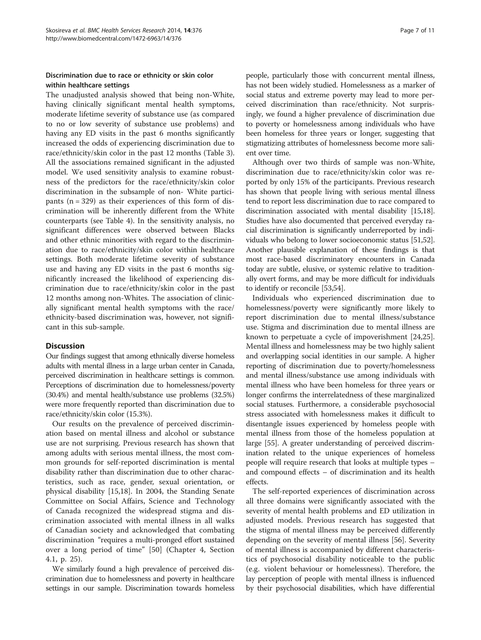# Discrimination due to race or ethnicity or skin color within healthcare settings

The unadjusted analysis showed that being non-White, having clinically significant mental health symptoms, moderate lifetime severity of substance use (as compared to no or low severity of substance use problems) and having any ED visits in the past 6 months significantly increased the odds of experiencing discrimination due to race/ethnicity/skin color in the past 12 months (Table [3](#page-5-0)). All the associations remained significant in the adjusted model. We used sensitivity analysis to examine robustness of the predictors for the race/ethnicity/skin color discrimination in the subsample of non- White participants  $(n = 329)$  as their experiences of this form of discrimination will be inherently different from the White counterparts (see Table [4](#page-7-0)). In the sensitivity analysis, no significant differences were observed between Blacks and other ethnic minorities with regard to the discrimination due to race/ethnicity/skin color within healthcare settings. Both moderate lifetime severity of substance use and having any ED visits in the past 6 months significantly increased the likelihood of experiencing discrimination due to race/ethnicity/skin color in the past 12 months among non-Whites. The association of clinically significant mental health symptoms with the race/ ethnicity-based discrimination was, however, not significant in this sub-sample.

# **Discussion**

Our findings suggest that among ethnically diverse homeless adults with mental illness in a large urban center in Canada, perceived discrimination in healthcare settings is common. Perceptions of discrimination due to homelessness/poverty (30.4%) and mental health/substance use problems (32.5%) were more frequently reported than discrimination due to race/ethnicity/skin color (15.3%).

Our results on the prevalence of perceived discrimination based on mental illness and alcohol or substance use are not surprising. Previous research has shown that among adults with serious mental illness, the most common grounds for self-reported discrimination is mental disability rather than discrimination due to other characteristics, such as race, gender, sexual orientation, or physical disability [[15,18\]](#page-9-0). In 2004, the Standing Senate Committee on Social Affairs, Science and Technology of Canada recognized the widespread stigma and discrimination associated with mental illness in all walks of Canadian society and acknowledged that combating discrimination "requires a multi-pronged effort sustained over a long period of time" [[50\]](#page-10-0) (Chapter 4, Section 4.1, p. 25).

We similarly found a high prevalence of perceived discrimination due to homelessness and poverty in healthcare settings in our sample. Discrimination towards homeless

people, particularly those with concurrent mental illness, has not been widely studied. Homelessness as a marker of social status and extreme poverty may lead to more perceived discrimination than race/ethnicity. Not surprisingly, we found a higher prevalence of discrimination due to poverty or homelessness among individuals who have been homeless for three years or longer, suggesting that stigmatizing attributes of homelessness become more salient over time.

Although over two thirds of sample was non-White, discrimination due to race/ethnicity/skin color was reported by only 15% of the participants. Previous research has shown that people living with serious mental illness tend to report less discrimination due to race compared to discrimination associated with mental disability [\[15,18](#page-9-0)]. Studies have also documented that perceived everyday racial discrimination is significantly underreported by individuals who belong to lower socioeconomic status [\[51,52](#page-10-0)]. Another plausible explanation of these findings is that most race-based discriminatory encounters in Canada today are subtle, elusive, or systemic relative to traditionally overt forms, and may be more difficult for individuals to identify or reconcile [\[53,54](#page-10-0)].

Individuals who experienced discrimination due to homelessness/poverty were significantly more likely to report discrimination due to mental illness/substance use. Stigma and discrimination due to mental illness are known to perpetuate a cycle of impoverishment [\[24,25](#page-9-0)]. Mental illness and homelessness may be two highly salient and overlapping social identities in our sample. A higher reporting of discrimination due to poverty/homelessness and mental illness/substance use among individuals with mental illness who have been homeless for three years or longer confirms the interrelatedness of these marginalized social statuses. Furthermore, a considerable psychosocial stress associated with homelessness makes it difficult to disentangle issues experienced by homeless people with mental illness from those of the homeless population at large [[55](#page-10-0)]. A greater understanding of perceived discrimination related to the unique experiences of homeless people will require research that looks at multiple types – and compound effects – of discrimination and its health effects.

The self-reported experiences of discrimination across all three domains were significantly associated with the severity of mental health problems and ED utilization in adjusted models. Previous research has suggested that the stigma of mental illness may be perceived differently depending on the severity of mental illness [\[56\]](#page-10-0). Severity of mental illness is accompanied by different characteristics of psychosocial disability noticeable to the public (e.g. violent behaviour or homelessness). Therefore, the lay perception of people with mental illness is influenced by their psychosocial disabilities, which have differential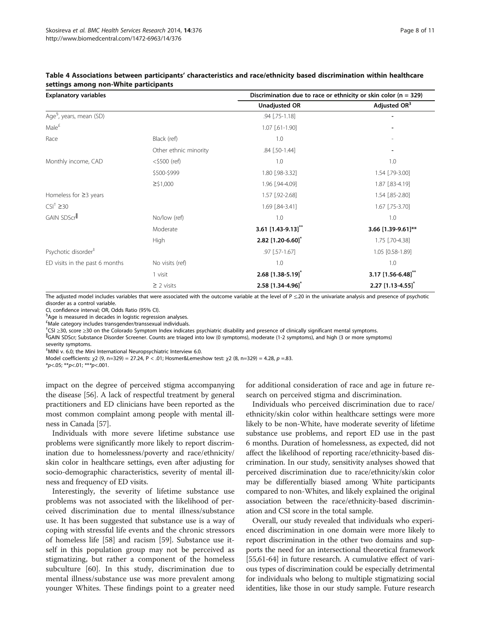| <b>Explanatory variables</b>        |                       | Discrimination due to race or ethnicity or skin color ( $n = 329$ ) |                          |
|-------------------------------------|-----------------------|---------------------------------------------------------------------|--------------------------|
|                                     |                       | <b>Unadjusted OR</b>                                                | Adjusted OR <sup>3</sup> |
| Age <sup>s</sup> , years, mean (SD) |                       | $.94$ $[.75-1.18]$                                                  |                          |
| Male $^{\rm \epsilon}$              |                       | 1.07 [.61-1.90]                                                     |                          |
| Race                                | Black (ref)           | 1.0                                                                 |                          |
|                                     | Other ethnic minority | $.84$ $[.50-1.44]$                                                  |                          |
| Monthly income, CAD                 | $<$ \$500 (ref)       | 1.0                                                                 | 1.0                      |
|                                     | \$500-\$999           | 1.80 [.98-3.32]                                                     | 1.54 [.79-3.00]          |

≥\$1,000 1.96 [.94-4.09] 1.87 [.83-4.19]

Moderate **3.61 [1.43-9.13]\*\*** 3.66 [1.39-9.61]\*\* High **2.82 [1.20-6.60]<sup>\*</sup> 2.70** 1.75 [.70-4.38]

1 visit **2.68 [1.38-5.19]<sup>\*</sup> 2.68 [1.38-5.19]** 3.17 [1.56-6.48]<sup>\*\*</sup>  $≥$  2 visits 2.58  $\left[1.34 - 4.96\right]^*$  2.27  $\left[1.13 - 4.55\right]^*$ 

#### <span id="page-7-0"></span>Table 4 Associations b settings among non-W

Homeless for ≥3 years 1.57 [.92-2.68] 1.54 [.85-2.80] CSI<sup>†</sup> ≥30 1.67 [.75-3.70] 1.69 [.84-3.41] 1.69 [.84-3.41] 1.67 [.75-3.70]  $GAN$  SDScr $\parallel$  1.0 1.0 1.0

Psychotic disorder‡ .97 [.57-1.67] 1.05 [0.58-1.89] ED visits in the past 6 months No visits (ref) 1.0 1.0 1.0 1.0

The adjusted model includes variables that were associated with the outcome variable at the level of P ≤.20 in the univariate analysis and presence of psychotic disorder as a control variable.

CI, confidence interval; OR, Odds Ratio (95% CI).

§ Age is measured in decades in logistic regression analyses.

 $^{\text{f}}$ Male category includes transgender/transsexual individuals.

†CSI ≥30, score ≥30 on the Colorado Symptom Index indicates psychiatric disability and presence of clinically significant mental symptoms.<br>∥GAIN SDScr: Substance Disorder Screener, Counts are triaged into Jow (0 symptoms)

GAIN SDScr; Substance Disorder Screener. Counts are triaged into low (0 symptoms), moderate (1-2 symptoms), and high (3 or more symptoms) severity symptoms.

‡ MINI v. 6.0; the Mini International Neuropsychiatric Interview 6.0.

Model coefficients:  $χ2$  (9, n=329) = 27.24, P < .01; Hosmer&Lemeshow test:  $χ2$  (8, n=329) = 4.28, p =.83.

 $*_{p<.05}$ ; \*\*p<.01; \*\*\*p<.001.

impact on the degree of perceived stigma accompanying the disease [[56](#page-10-0)]. A lack of respectful treatment by general practitioners and ED clinicians have been reported as the most common complaint among people with mental illness in Canada [\[57](#page-10-0)].

Individuals with more severe lifetime substance use problems were significantly more likely to report discrimination due to homelessness/poverty and race/ethnicity/ skin color in healthcare settings, even after adjusting for socio-demographic characteristics, severity of mental illness and frequency of ED visits.

Interestingly, the severity of lifetime substance use problems was not associated with the likelihood of perceived discrimination due to mental illness/substance use. It has been suggested that substance use is a way of coping with stressful life events and the chronic stressors of homeless life [[58\]](#page-10-0) and racism [[59\]](#page-10-0). Substance use itself in this population group may not be perceived as stigmatizing, but rather a component of the homeless subculture [\[60\]](#page-10-0). In this study, discrimination due to mental illness/substance use was more prevalent among younger Whites. These findings point to a greater need for additional consideration of race and age in future research on perceived stigma and discrimination.

Individuals who perceived discrimination due to race/ ethnicity/skin color within healthcare settings were more likely to be non-White, have moderate severity of lifetime substance use problems, and report ED use in the past 6 months. Duration of homelessness, as expected, did not affect the likelihood of reporting race/ethnicity-based discrimination. In our study, sensitivity analyses showed that perceived discrimination due to race/ethnicity/skin color may be differentially biased among White participants compared to non-Whites, and likely explained the original association between the race/ethnicity-based discrimination and CSI score in the total sample.

Overall, our study revealed that individuals who experienced discrimination in one domain were more likely to report discrimination in the other two domains and supports the need for an intersectional theoretical framework [[55](#page-10-0),[61](#page-10-0)-[64](#page-10-0)] in future research. A cumulative effect of various types of discrimination could be especially detrimental for individuals who belong to multiple stigmatizing social identities, like those in our study sample. Future research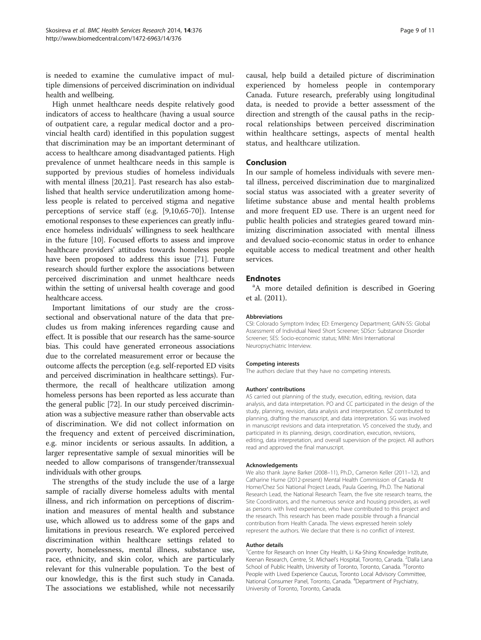is needed to examine the cumulative impact of multiple dimensions of perceived discrimination on individual health and wellbeing.

High unmet healthcare needs despite relatively good indicators of access to healthcare (having a usual source of outpatient care, a regular medical doctor and a provincial health card) identified in this population suggest that discrimination may be an important determinant of access to healthcare among disadvantaged patients. High prevalence of unmet healthcare needs in this sample is supported by previous studies of homeless individuals with mental illness [\[20,21](#page-9-0)]. Past research has also established that health service underutilization among homeless people is related to perceived stigma and negative perceptions of service staff (e.g. [\[9](#page-9-0),[10](#page-9-0)[,65](#page-10-0)-[70\]](#page-10-0)). Intense emotional responses to these experiences can greatly influence homeless individuals' willingness to seek healthcare in the future [[10](#page-9-0)]. Focused efforts to assess and improve healthcare providers' attitudes towards homeless people have been proposed to address this issue [[71](#page-10-0)]. Future research should further explore the associations between perceived discrimination and unmet healthcare needs within the setting of universal health coverage and good healthcare access.

Important limitations of our study are the crosssectional and observational nature of the data that precludes us from making inferences regarding cause and effect. It is possible that our research has the same-source bias. This could have generated erroneous associations due to the correlated measurement error or because the outcome affects the perception (e.g. self-reported ED visits and perceived discrimination in healthcare settings). Furthermore, the recall of healthcare utilization among homeless persons has been reported as less accurate than the general public [\[72\]](#page-10-0). In our study perceived discrimination was a subjective measure rather than observable acts of discrimination. We did not collect information on the frequency and extent of perceived discrimination, e.g. minor incidents or serious assaults. In addition, a larger representative sample of sexual minorities will be needed to allow comparisons of transgender/transsexual individuals with other groups.

The strengths of the study include the use of a large sample of racially diverse homeless adults with mental illness, and rich information on perceptions of discrimination and measures of mental health and substance use, which allowed us to address some of the gaps and limitations in previous research. We explored perceived discrimination within healthcare settings related to poverty, homelessness, mental illness, substance use, race, ethnicity, and skin color, which are particularly relevant for this vulnerable population. To the best of our knowledge, this is the first such study in Canada. The associations we established, while not necessarily

causal, help build a detailed picture of discrimination experienced by homeless people in contemporary Canada. Future research, preferably using longitudinal data, is needed to provide a better assessment of the direction and strength of the causal paths in the reciprocal relationships between perceived discrimination within healthcare settings, aspects of mental health status, and healthcare utilization.

# Conclusion

In our sample of homeless individuals with severe mental illness, perceived discrimination due to marginalized social status was associated with a greater severity of lifetime substance abuse and mental health problems and more frequent ED use. There is an urgent need for public health policies and strategies geared toward minimizing discrimination associated with mental illness and devalued socio-economic status in order to enhance equitable access to medical treatment and other health services.

# **Endnotes**

<sup>a</sup>A more detailed definition is described in Goering et al. (2011).

#### **Abbreviations**

CSI: Colorado Symptom Index; ED: Emergency Department; GAIN-SS: Global Assessment of Individual Need Short Screener; SDScr: Substance Disorder Screener; SES: Socio-economic status; MINI: Mini International Neuropsychiatric Interview.

#### Competing interests

The authors declare that they have no competing interests.

#### Authors' contributions

AS carried out planning of the study, execution, editing, revision, data analysis, and data interpretation. PO and CC participated in the design of the study, planning, revision, data analysis and interpretation. SZ contributed to planning, drafting the manuscript, and data interpretation. SG was involved in manuscript revisions and data interpretation. VS conceived the study, and participated in its planning, design, coordination, execution, revisions, editing, data interpretation, and overall supervision of the project. All authors read and approved the final manuscript.

#### Acknowledgements

We also thank Jayne Barker (2008–11), Ph.D., Cameron Keller (2011–12), and Catharine Hume (2012-present) Mental Health Commission of Canada At Home/Chez Soi National Project Leads, Paula Goering, Ph.D. The National Research Lead, the National Research Team, the five site research teams, the Site Coordinators, and the numerous service and housing providers, as well as persons with lived experience, who have contributed to this project and the research. This research has been made possible through a financial contribution from Health Canada. The views expressed herein solely represent the authors. We declare that there is no conflict of interest.

#### Author details

<sup>1</sup>Centre for Research on Inner City Health, Li Ka-Shing Knowledge Institute Keenan Research, Centre, St. Michael's Hospital, Toronto, Canada. <sup>2</sup>Dalla Lana School of Public Health, University of Toronto, Toronto, Canada. <sup>3</sup>Toronto People with Lived Experience Caucus, Toronto Local Advisory Committee, National Consumer Panel, Toronto, Canada. <sup>4</sup>Department of Psychiatry, University of Toronto, Toronto, Canada.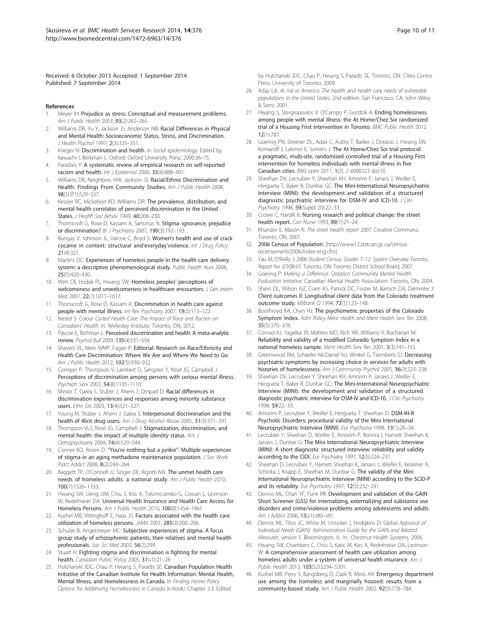<span id="page-9-0"></span>Received: 6 October 2013 Accepted: 1 September 2014 Published: 7 September 2014

#### References

- Meyer IH: Prejudice as stress: Conceptual and measurement problems. Am J Public Health 2003, 93(2):262–265.
- 2. Williams DR, Yu Y, Jackson JS, Anderson NB: Racial Differences in Physical and Mental Health: Socioeconomic Status, Stress, and Discrimination. J Health Psychol 1997, 2(3):335–351.
- 3. Krieger N: Discrimination and health. In Social epidemiology. Edited by Kawachi I, Berkman L. Oxford: Oxford University Press; 2000:36–75.
- 4. Paradies Y: A systematic review of empirical research on self-reported racism and health. Int J Epidemiol 2006, 35(4):888–901.
- 5. Williams DR, Neighbors HW, Jackson JS: Racial/Ethnic Discrimination and Health: Findings From Community Studies. Am J Public Health 2008, 98(SUP1):S29–S37.
- 6. Kessler RC, Mickelson KD, Williams DR: The prevalence, distribution, and mental health correlates of perceived discrimination in the United States. *J Health Soc Behav 1999*, 40:208-230.
- 7. Thornicroft G, Rose D, Kassam A, Sartorius N: Stigma: ignorance, prejudice or discrimination? Br J Psychiatry 2007, 190(3):192-193.
- 8. Bungay V, Johnson JL, Varcoe C, Boyd S: Women's health and use of crack cocaine in context: structural and'everyday'violence. Int J Drug Policy 21(4):321.
- Martins DC: Experiences of homeless people in the health care delivery system: a descriptive phenomenological study. Public Health Nurs 2008, 25(5):420–430.
- 10. Wen CK, Hudak PL, Hwang SW: Homeless peoples' perceptions of welcomeness and unwelcomeness in healthcare encounters. J Gen Intern Med 2007, 22(7):1011–1017.
- 11. Thornicroft G, Rose D, Kassam A: Discrimination in health care against people with mental illness. Int Rev Psychiatry 2007, 19(2):113–122.
- 12. Nestel S: Colour Coded Health Care: The Impact of Race and Racism on Canadians' Health. In. Wellesley Institute: Toronto, ON; 2012.
- 13. Pascoe E, Richman L: Perceived discrimination and health: A meta-analytic review. Psychol Bull 2009, 135(4):531–554.
- 14. Shavers VL, Klein WMP, Fagan P: Editorial: Research on Race/Ethnicity and Health Care Discrimination: Where We Are and Where We Need to Go. Am J Public Health 2012, 102(5):930-932.
- 15. Corrigan P, Thompson V, Lambert D, Sangster Y, Noel JG, Campbell J: Perceptions of discrimination among persons with serious mental illness. Psychiatr Serv 2003, 54(8):1105–1110.
- 16. Minior T, Galea S, Stuber J, Ahern J, Ompad D: Racial differences in discrimination experiences and responses among minority substance users. Ethn Dis 2003, 13(4):521–527.
- Young M, Stuber J, Ahern J, Galea S: Interpersonal discrimination and the health of illicit drug users. Am J Drug Alcohol Abuse 2005, 31(3):371-391.
- 18. Thompson VLS, Noel JG, Campbell J: Stigmatization, discrimination, and mental health: the impact of multiple identity status. Am J Orthopsychiatry 2004, 74(4):529–544.
- 19. Conner KO, Rosen D: "You're nothing but a junkie": Multiple experiences of stigma in an aging methadone maintenance population. J Soc Work Pract Addict 2008, 8(2):244–264.
- 20. Baggett TP, O'Connell JJ, Singer DE, Rigotti NA: The unmet health care needs of homeless adults: a national study. Am J Public Health 2010, 100(7):1326–1333.
- 21. Hwang SW, Ueng JJM, Chiu S, Kiss A, Tolomiczenko G, Cowan L, Levinson W, Redelmeier DA: Universal Health Insurance and Health Care Access for Homeless Persons. Am J Public Health 2010, 100(8):1454–1461.
- 22. Kushel MB, Vittinghoff E, Haas JS: Factors associated with the health care utilization of homeless persons. JAMA 2001, 285(2):200–206.
- 23. Schulze B, Angermeyer MC: Subjective experiences of stigma. A focus group study of schizophrenic patients, their relatives and mental health professionals. Soc Sci Med 2003, 56(2):299.
- 24. Stuart H: Fighting stigma and discrimination is fighting for mental health. Canadian Public Policy 2005, 31(s1):21–28.
- Hulchanski JDC, Chau P, Hwang S, Paradis SE: Canadian Population Health Initiative of the Canadian Institute for Health Information: Mental Health, Mental Illness, and Homelessness in Canada. In Finding Home: Policy Options for Addressing Homelessness in Canada (e-book), Chapter 2.3. Edited
- 26. Aday LA: At risk in America: The health and health care needs of vulnerable populations in the United States. 2nd edition. San Francisco, CA: John Wiley & Sons; 2001.
- 27. Hwang S, Stergiopoulos V, O'Campo P, Gozdzik A: Ending homelessness among people with mental illness: the At Home/Chez Soi randomized trial of a Housing First intervention in Toronto. BMC Public Health 2012, 12(1):787.
- 28. Goering PN, Streiner DL, Adair C, Aubry T, Barker J, Distasio J, Hwang SW, Komaroff J, Latimer E, Somers J: The At Home/Chez Soi trial protocol: a pragmatic, multi-site, randomised controlled trial of a Housing First intervention for homeless individuals with mental illness in five Canadian cities. BMJ open 2011, 1(2). 2 e000323 doi:10.
- 29. Sheehan DV, Lecrubier Y, Sheehan KH, Amorim P, Janavs J, Weiller E, Hergueta T, Baker R, Dunbar GC: The Mini-International Neuropsychiatric Interview (MINI): the development and validation of a structured diagnostic psychiatric interview for DSM-IV and ICD-10. J Clin Psychiatry 1998, 59(Suppl 20):22–33.
- 30. Crowe C, Hardill K: Nursing research and political change: the street health report. Can Nurse 1993, 89(1):21–24.
- 31. Khandor E, Mason K: The street health report 2007. Creative Commons: Toronto, ON; 2007.
- 32. 2006 Census of Population. [\[http://www12.statcan.gc.ca/census](http://www12.statcan.gc.ca/census-recensement/2006/index-eng.cfm)[recensement/2006/index-eng.cfm\]](http://www12.statcan.gc.ca/census-recensement/2006/index-eng.cfm)
- 33. Yau M, O'Reilly J: 2006 Student Census, Grades 7–12: System Overview Toronto. Report No. 07/08-01. Toronto, ON: Toronto District School Board; 2007.
- 34. Goering P: Making a Difference: Ontario's Community Mental Health Evaluation Initiative. Canadian Mental Health Association: Toronto, ON; 2004.
- 35. Shern DL, Wilson NZ, Coen AS, Patrick DC, Foster M, Bartsch DA, Demmler J: Client outcomes II: Longitudinal client data from the Colorado treatment outcome study. Milbank Q 1994, 72(1):123–148.
- 36. Boothroyd RA, Chen HJ: The psychometric properties of the Colorado Symptom Index. Adm Policy Ment Health and Ment Health Serv Res 2008, 35(5):370–378.
- 37. Conrad KJ, Yagelka JR, Matters MD, Rich AR, Williams V, Buchanan M: Reliability and validity of a modified Colorado Symptom Index in a national homeless sample. Ment Health Serv Res 2001, 3(3):141–153.
- 38. Greenwood RM, Schaefer-McDaniel NJ, Winkel G, Tsemberis SJ: Decreasing psychiatric symptoms by increasing choice in services for adults with histories of homelessness. Am J Community Psychol 2005, 36(3):223-238.
- 39. Sheehan DV, Lecrubier Y, Sheehan KH, Amorim P, Janavs J, Weiller E, Hergueta T, Baker R, Dunbar GC: The Mini-International Neuropsychiatric Interview (MINI): the development and validation of a structured diagnostic psychiatric interview for DSM-IV and ICD-10. J Clin Psychiatry 1998, 59:22–33.
- 40. Amorim P, Lecrubier Y, Weiller E, Hergueta T, Sheehan D: DSM-IH-R Psychotic Disorders: procedural validity of the Mini International Neuropsychiatric Interview (MINI). [Eur Psychiatry](http://www.ncbi.nlm.nih.gov/pubmed/?term=Concordance+and+causes+for+discordance+with+the+CIDI+European+Psychiatry#European%20psychiatry%20:%20the%20journal%20of%20the%20Association%20of%20European%20Psychiatrists.) 1998, 13(1):26–34.
- 41. Lecrubier Y, Sheehan D, Weiller E, Amorim P, Bonora I, Harnett Sheehan K, Janavs J, Dunbar G: The Mini International Neuropsychiatric Interview (MINI). A short diagnostic structured interview: reliability and validity according to the CIDI. Eur Psychiatry 1997, 12(5):224–231.
- 42. Sheehan D, Lecrubier Y, Harnett Sheehan K, Janavs J, Weiller E, Keskiner A, Schinka J, Knapp E, Sheehan M, Dunbar G: The validity of the Mini International Neuropsychiatric Interview (MINI) according to the SCID-P and its reliability. Eur Psychiatry 1997, 12(5):232–241.
- 43. Dennis ML, Chan YF, Funk RR: Development and validation of the GAIN Short Screener (GSS) for internalizing, externalizing and substance use disorders and crime/violence problems among adolescents and adults. Am J Addict 2006, 15(s1):s80–s91.
- 44. Dennis ML, Titus JC, White M, Unsicker J, Hodgkins D: Global Appraisal of Individual Needs (GAIN): Administration Guide for the GAIN and Related Measures, version 5. Bloomington, IL. In.: Chestnut Health Systems; 2006.
- 45. Hwang SW, Chambers C, Chiu S, Katic M, Kiss A, Redelmeier DA, Levinson W: A comprehensive assessment of health care utilization among homeless adults under a system of universal health insurance. Am J Public Health 2013, 103(S2):S294–S301.
- 46. Kushel MB, Perry S, Bangsberg D, Clark R, Moss AR: Emergency department use among the homeless and marginally housed: results from a community-based study. Am J Public Health 2002, 92(5):778–784.